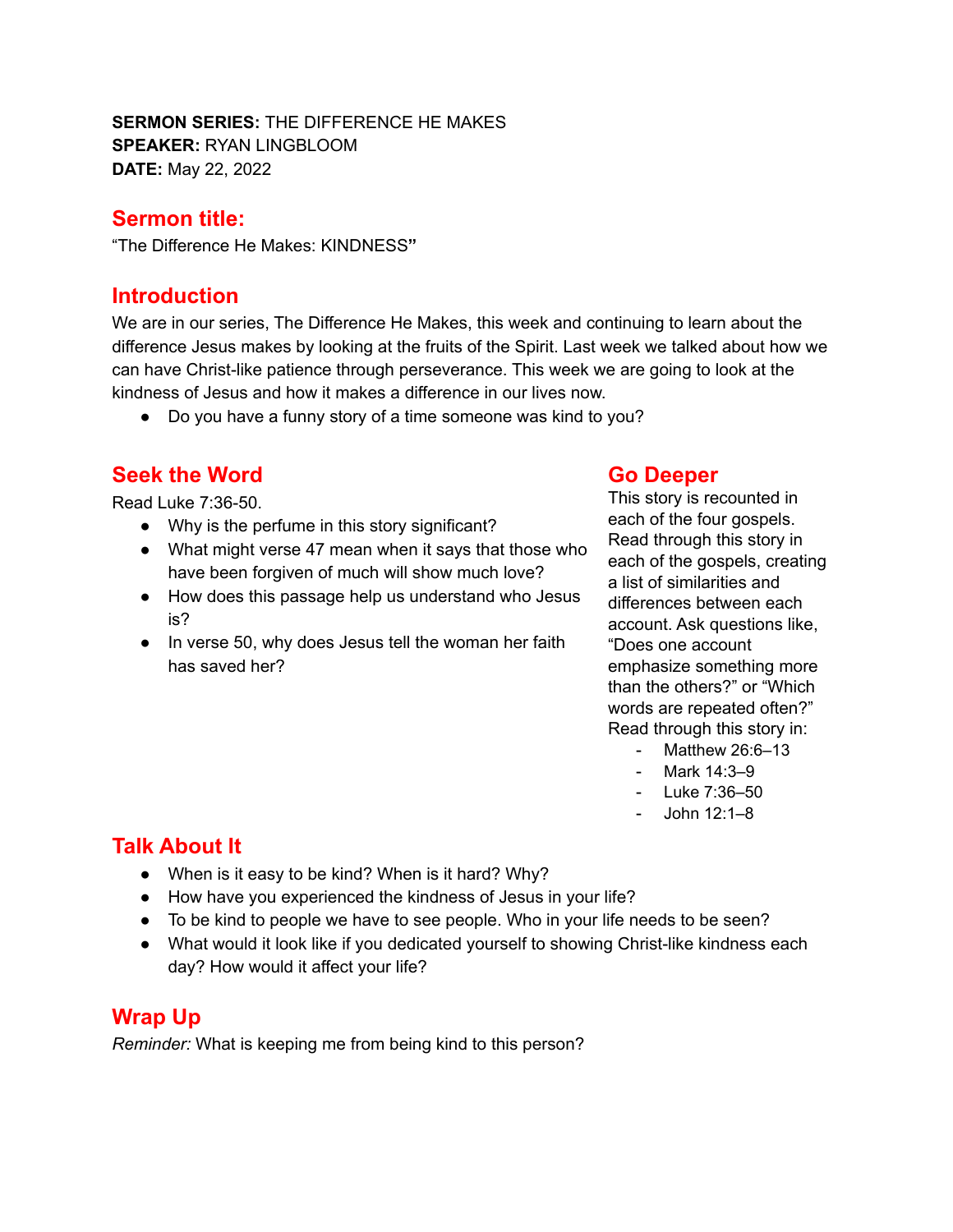**SERMON SERIES:** THE DIFFERENCE HE MAKES **SPEAKER:** RYAN LINGBLOOM **DATE:** May 22, 2022

#### **Sermon title:**

"The Difference He Makes: KINDNESS**"**

#### **Introduction**

We are in our series, The Difference He Makes, this week and continuing to learn about the difference Jesus makes by looking at the fruits of the Spirit. Last week we talked about how we can have Christ-like patience through perseverance. This week we are going to look at the kindness of Jesus and how it makes a difference in our lives now.

• Do you have a funny story of a time someone was kind to you?

## **Seek the Word**

Read Luke 7:36-50.

- Why is the perfume in this story significant?
- What might verse 47 mean when it says that those who have been forgiven of much will show much love?
- How does this passage help us understand who Jesus is?
- In verse 50, why does Jesus tell the woman her faith has saved her?

#### **Go Deeper**

This story is recounted in each of the four gospels. Read through this story in each of the gospels, creating a list of similarities and differences between each account. Ask questions like, "Does one account emphasize something more than the others?" or "Which words are repeated often?" Read through this story in:

- Matthew 26:6–13
- Mark 14:3–9
- Luke 7:36–50
- John 12:1–8

# **Talk About It**

- When is it easy to be kind? When is it hard? Why?
- How have you experienced the kindness of Jesus in your life?
- To be kind to people we have to see people. Who in your life needs to be seen?
- What would it look like if you dedicated yourself to showing Christ-like kindness each day? How would it affect your life?

### **Wrap Up**

*Reminder:* What is keeping me from being kind to this person?